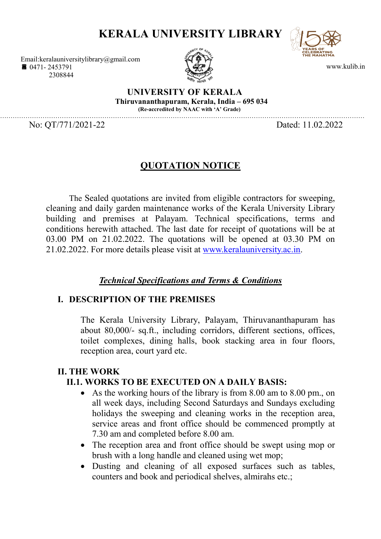# KERALA UNIVERSITY LIBRARY

www.kulib.in

Email:keralauniversitylibrary@gmail.com ■ 0471-2453791 2308844



UNIVERSITY OF KERALA Thiruvananthapuram, Kerala, India – 695 034 (Re-accredited by NAAC with 'A' Grade)

………………………………………………………………………………………………………………………………………………………

No: OT/771/2021-22 Dated: 11.02.2022

## QUOTATION NOTICE

The Sealed quotations are invited from eligible contractors for sweeping, cleaning and daily garden maintenance works of the Kerala University Library building and premises at Palayam. Technical specifications, terms and conditions herewith attached. The last date for receipt of quotations will be at 03.00 PM on 21.02.2022. The quotations will be opened at 03.30 PM on 21.02.2022. For more details please visit at www.keralauniversity.ac.in.

## Technical Specifications and Terms & Conditions

#### I. DESCRIPTION OF THE PREMISES

The Kerala University Library, Palayam, Thiruvananthapuram has about 80,000/- sq.ft., including corridors, different sections, offices, toilet complexes, dining halls, book stacking area in four floors, reception area, court yard etc.

#### II. THE WORK

## II.1. WORKS TO BE EXECUTED ON A DAILY BASIS:

- As the working hours of the library is from 8.00 am to 8.00 pm., on all week days, including Second Saturdays and Sundays excluding holidays the sweeping and cleaning works in the reception area, service areas and front office should be commenced promptly at 7.30 am and completed before 8.00 am.
- The reception area and front office should be swept using mop or brush with a long handle and cleaned using wet mop;
- Dusting and cleaning of all exposed surfaces such as tables, counters and book and periodical shelves, almirahs etc.;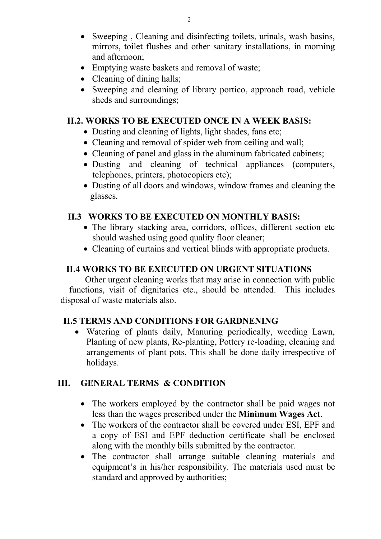- Sweeping, Cleaning and disinfecting toilets, urinals, wash basins, mirrors, toilet flushes and other sanitary installations, in morning and afternoon;
- Emptying waste baskets and removal of waste:
- Cleaning of dining halls;
- Sweeping and cleaning of library portico, approach road, vehicle sheds and surroundings;

#### II.2. WORKS TO BE EXECUTED ONCE IN A WEEK BASIS:

- Dusting and cleaning of lights, light shades, fans etc;
- Cleaning and removal of spider web from ceiling and wall;
- Cleaning of panel and glass in the aluminum fabricated cabinets;
- Dusting and cleaning of technical appliances (computers, telephones, printers, photocopiers etc);
- Dusting of all doors and windows, window frames and cleaning the glasses.

### II.3 WORKS TO BE EXECUTED ON MONTHLY BASIS:

- The library stacking area, corridors, offices, different section etc should washed using good quality floor cleaner;
- Cleaning of curtains and vertical blinds with appropriate products.

## II.4 WORKS TO BE EXECUTED ON URGENT SITUATIONS

 Other urgent cleaning works that may arise in connection with public functions, visit of dignitaries etc., should be attended. This includes disposal of waste materials also.

## II.5 TERMS AND CONDITIONS FOR GARDNENING

 Watering of plants daily, Manuring periodically, weeding Lawn, Planting of new plants, Re-planting, Pottery re-loading, cleaning and arrangements of plant pots. This shall be done daily irrespective of holidays.

## III. GENERAL TERMS & CONDITION

- The workers employed by the contractor shall be paid wages not less than the wages prescribed under the Minimum Wages Act.
- The workers of the contractor shall be covered under ESI, EPF and a copy of ESI and EPF deduction certificate shall be enclosed along with the monthly bills submitted by the contractor.
- The contractor shall arrange suitable cleaning materials and equipment's in his/her responsibility. The materials used must be standard and approved by authorities;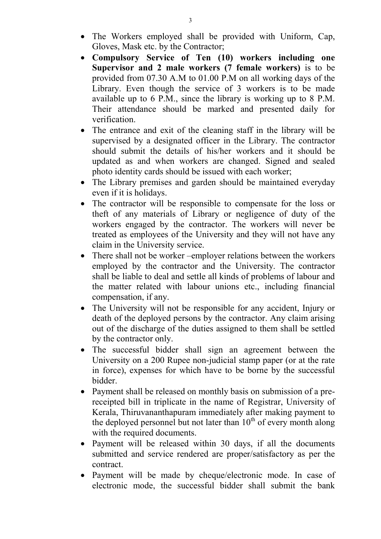- The Workers employed shall be provided with Uniform, Cap, Gloves, Mask etc. by the Contractor;
- Compulsory Service of Ten (10) workers including one Supervisor and 2 male workers (7 female workers) is to be provided from 07.30 A.M to 01.00 P.M on all working days of the Library. Even though the service of 3 workers is to be made available up to 6 P.M., since the library is working up to 8 P.M. Their attendance should be marked and presented daily for verification.
- The entrance and exit of the cleaning staff in the library will be supervised by a designated officer in the Library. The contractor should submit the details of his/her workers and it should be updated as and when workers are changed. Signed and sealed photo identity cards should be issued with each worker;
- The Library premises and garden should be maintained everyday even if it is holidays.
- The contractor will be responsible to compensate for the loss or theft of any materials of Library or negligence of duty of the workers engaged by the contractor. The workers will never be treated as employees of the University and they will not have any claim in the University service.
- There shall not be worker –employer relations between the workers employed by the contractor and the University. The contractor shall be liable to deal and settle all kinds of problems of labour and the matter related with labour unions etc., including financial compensation, if any.
- The University will not be responsible for any accident, Injury or death of the deployed persons by the contractor. Any claim arising out of the discharge of the duties assigned to them shall be settled by the contractor only.
- The successful bidder shall sign an agreement between the University on a 200 Rupee non-judicial stamp paper (or at the rate in force), expenses for which have to be borne by the successful bidder.
- Payment shall be released on monthly basis on submission of a prereceipted bill in triplicate in the name of Registrar, University of Kerala, Thiruvananthapuram immediately after making payment to the deployed personnel but not later than  $10^{th}$  of every month along with the required documents.
- Payment will be released within 30 days, if all the documents submitted and service rendered are proper/satisfactory as per the contract.
- Payment will be made by cheque/electronic mode. In case of electronic mode, the successful bidder shall submit the bank